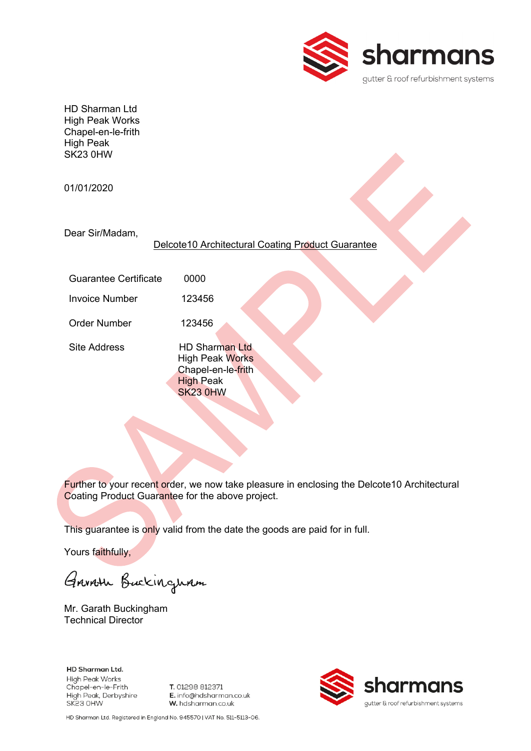

HD Sharman Ltd High Peak Works Chapel-en-le-frith High Peak SK23 0HW

01/01/2020

Dear Sir/Madam,

Delcote10 Architectural Coating Product Guarantee

Guarantee Certificate 0000

Invoice Number 123456

Order Number 123456

Site Address HD Sharman Ltd High Peak Works Chapel-en-le-frith High Peak SK23 0HW

Further to your recent order, we now take pleasure in enclosing the Delcote10 Architectural Coating Product Guarantee for the above project.

This guarantee is only valid from the date the goods are paid for in full.

Yours faithfully,

Garroth Buckingham

Mr. Garath Buckingham Technical Director

**HD Sharman Ltd. High Peak Works** Chapel-en-le-Frith High Peak, Derbyshire SK23 OHW

T. 01298 812371 E. info@hdsharman.co.uk W. hdsharman.co.uk



HD Sharman Ltd. Registered in England No. 945570 | VAT No. 511-5113-06.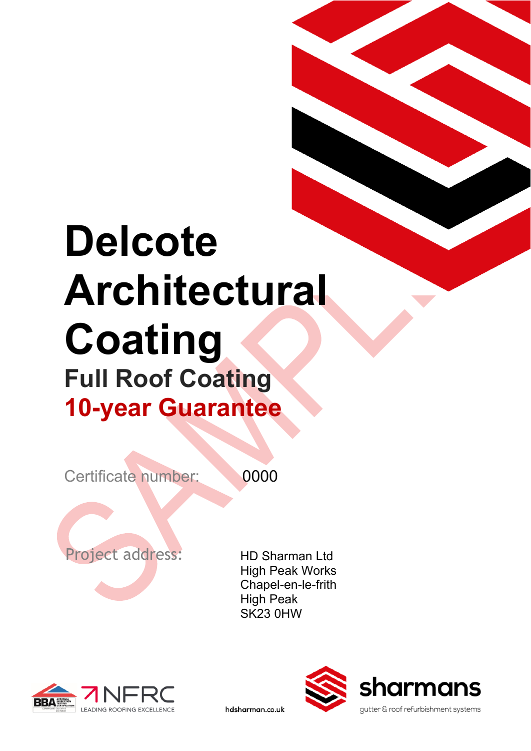# **Delcote Architectural Coating Full Roof Coating 10-year Guarantee**

Certificate number: 0000

hdsharman.co.uk

Project address: HD Sharman Ltd

High Peak Works Chapel-en-le-frith High Peak SK23 0HW



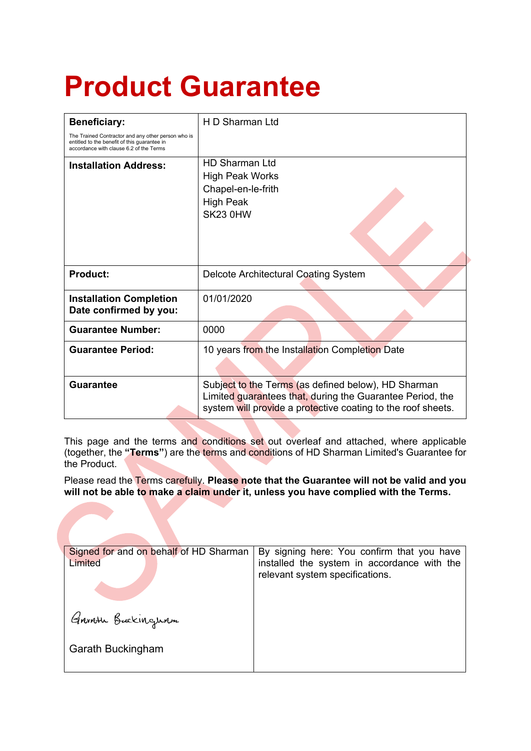# **Product Guarantee**

| <b>Beneficiary:</b>                                                                                                                           | H D Sharman Ltd                                                                                                                                                                  |
|-----------------------------------------------------------------------------------------------------------------------------------------------|----------------------------------------------------------------------------------------------------------------------------------------------------------------------------------|
| The Trained Contractor and any other person who is<br>entitled to the benefit of this guarantee in<br>accordance with clause 6.2 of the Terms |                                                                                                                                                                                  |
| <b>Installation Address:</b>                                                                                                                  | <b>HD Sharman Ltd</b><br><b>High Peak Works</b><br>Chapel-en-le-frith<br><b>High Peak</b><br>SK23 0HW                                                                            |
| <b>Product:</b>                                                                                                                               | Delcote Architectural Coating System                                                                                                                                             |
| <b>Installation Completion</b><br>Date confirmed by you:                                                                                      | 01/01/2020                                                                                                                                                                       |
| <b>Guarantee Number:</b>                                                                                                                      | 0000                                                                                                                                                                             |
| <b>Guarantee Period:</b>                                                                                                                      | 10 years from the Installation Completion Date                                                                                                                                   |
| <b>Guarantee</b>                                                                                                                              | Subject to the Terms (as defined below), HD Sharman<br>Limited guarantees that, during the Guarantee Period, the<br>system will provide a protective coating to the roof sheets. |

This page and the terms and conditions set out overleaf and attached, where applicable (together, the **"Terms"**) are the terms and conditions of HD Sharman Limited's Guarantee for the Product.

Please read the Terms carefully. **Please note that the Guarantee will not be valid and you will not be able to make a claim under it, unless you have complied with the Terms.**

| Signed for and on behalf of HD Sharman<br>Limited | By signing here: You confirm that you have<br>installed the system in accordance with the<br>relevant system specifications. |
|---------------------------------------------------|------------------------------------------------------------------------------------------------------------------------------|
| Garath Buckingwam                                 |                                                                                                                              |
| Garath Buckingham                                 |                                                                                                                              |